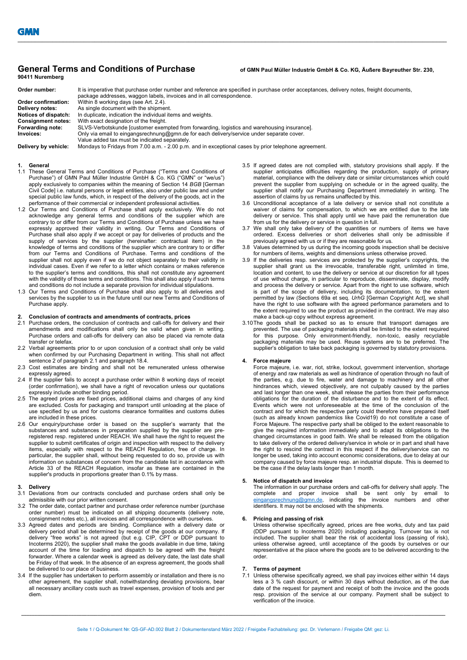# General Terms and Conditions of Purchase of GMN Paul Müller Industrie GmbH & Co. KG, Äußere Bayreuther Str. 230, 90411 Nuremberg

| Order number:             | It is imperative that purchase order number and reference are specified in purchase order acceptances, delivery notes, freight documents,<br>package addresses, waggon labels, invoices and in all correspondence. |
|---------------------------|--------------------------------------------------------------------------------------------------------------------------------------------------------------------------------------------------------------------|
| Order confirmation:       | Within 8 working days (see Art. 2.4).                                                                                                                                                                              |
| Delivery notes:           | As single document with the shipment.                                                                                                                                                                              |
| Notices of dispatch:      | In duplicate, indication the individual items and weights.                                                                                                                                                         |
| <b>Consignment notes:</b> | With exact designation of the freight.                                                                                                                                                                             |
| Forwarding note:          | SLVS-Verbotskunde [customer exempted from forwarding, logistics and warehousing insurance].                                                                                                                        |
| Invoices:                 | Only via email to eingangsrechnung@gmn.de for each delivery/service under separate cover.                                                                                                                          |
|                           | Value added tax must be indicated separately.                                                                                                                                                                      |
| Delivery by vehicle:      | Mondays to Fridays from 7.00 a.m. - 2.00 p.m. and in exceptional cases by prior telephone agreement.                                                                                                               |

 $\_$  , and the state of the state of the state of the state of the state of the state of the state of the state of the state of the state of the state of the state of the state of the state of the state of the state of the

#### **General**

- 1.1 These General Terms and Conditions of Purchase ("Terms and Conditions of Purchase") of GMN Paul Müller Industrie GmbH & Co. KG ("GMN" or "we/us") apply exclusively to companies within the meaning of Section 14 BGB [German Civil Code] i.e. natural persons or legal entities, also under public law and under special public law funds, which, in respect of the delivery of the goods, act in the performance of their commercial or independent professional activities.
- 1.2 Our Terms and Conditions of Purchase shall apply exclusively. We do not acknowledge any general terms and conditions of the supplier which are contrary to or differ from our Terms and Conditions of Purchase unless we have expressly approved their validity in writing. Our Terms and Conditions of Purchase shall also apply if we accept or pay for deliveries of products and the supply of services by the supplier (hereinafter: contractual item) in the knowledge of terms and conditions of the supplier which are contrary to or differ from our Terms and Conditions of Purchase. Terms and conditions of the supplier shall not apply even if we do not object separately to their validity in individual cases. Even if we refer to a letter which contains or makes reference to the supplier's terms and conditions, this shall not constitute any agreement with the validity of those terms and conditions. This shall also apply if such terms and conditions do not include a separate provision for individual stipulations.
- 1.3 Our Terms and Conditions of Purchase shall also apply to all deliveries and services by the supplier to us in the future until our new Terms and Conditions of Purchase apply.

# 2. Conclusion of contracts and amendments of contracts, prices

- 2.1 Purchase orders, the conclusion of contracts and call-offs for delivery and their amendments and modifications shall only be valid when given in writing. Purchase orders and call-offs for delivery can also be placed via remote data transfer or telefax.
- 2.2 Verbal agreements prior to or upon conclusion of a contract shall only be valid when confirmed by our Purchasing Department in writing. This shall not affect sentence 2 of paragraph 2.1 and paragraph 18.4.
- 2.3 Cost estimates are binding and shall not be remunerated unless otherwise expressly agreed.
- 2.4 If the supplier fails to accept a purchase order within 8 working days of receipt (order confirmation), we shall have a right of revocation unless our quotations expressly include another binding period.
- 2.5 The agreed prices are fixed prices, additional claims and charges of any kind are excluded. Costs for packaging and transport until unloading at the place of use specified by us and for customs clearance formalities and customs duties are included in these prices.
- 2.6 Our enquiry/purchase order is based on the supplier's warranty that the substances and substances in preparation supplied by the supplier are preregistered resp. registered under REACH. We shall have the right to request the supplier to submit certificates of origin and inspection with respect to the delivery items, especially with respect to the REACH Regulation, free of charge. In particular, the supplier shall, without being requested to do so, provide us with information on substances of concern from the candidate list in accordance with Article 33 of the REACH Regulation, insofar as these are contained in the supplier's products in proportions greater than 0.1% by mass.

# 3. Delivery

- 3.1 Deviations from our contracts concluded and purchase orders shall only be admissible with our prior written consent.
- 3.2 The order date, contact partner and purchase order reference number (purchase order number) must be indicated on all shipping documents (delivery note, consignment notes etc.), all invoices and all correspondence with ourselves.
- 3.3 Agreed dates and periods are binding. Compliance with a delivery date or delivery period shall be determined by receipt of the goods at our company. If delivery "free works" is not agreed (but e.g. CIP, CPT or DDP pursuant to Incoterms 2020), the supplier shall make the goods available in due time, taking account of the time for loading and dispatch to be agreed with the freight forwarder. Where a calendar week is agreed as delivery date, the last date shall be Friday of that week. In the absence of an express agreement, the goods shall be delivered to our place of business.
- 3.4 If the supplier has undertaken to perform assembly or installation and there is no other agreement, the supplier shall, notwithstanding deviating provisions, bear all necessary ancillary costs such as travel expenses, provision of tools and per diem.
- 3.5 If agreed dates are not complied with, statutory provisions shall apply. If the supplier anticipates difficulties regarding the production, supply of primary material, compliance with the delivery date or similar circumstances which could prevent the supplier from supplying on schedule or in the agreed quality, the supplier shall notify our Purchasing Department immediately in writing. The assertion of claims by us remains unaffected by this.
- 3.6 Unconditional acceptance of a late delivery or service shall not constitute a waiver of claims for compensation, to which we are entitled due to the late delivery or service. This shall apply until we have paid the remuneration due from us for the delivery or service in question in full.
- 3.7 We shall only take delivery of the quantities or numbers of items we have ordered. Excess deliveries or short deliveries shall only be admissible if previously agreed with us or if they are reasonable for us.
- 3.8 Values determined by us during the incoming goods inspection shall be decisive for numbers of items, weights and dimensions unless otherwise proved.
- 3.9 If the deliveries resp. services are protected by the supplier's copyrights, the supplier shall grant us the irrevocable, transferable right, unlimited in time, location and content, to use the delivery or service at our discretion for all types of use without charge, in particular to reproduce, disseminate, display, modify and process the delivery or service. Apart from the right to use software, which is part of the scope of delivery, including its documentation, to the extent permitted by law (Sections 69a et seq. UrhG [German Copyright Act], we shall have the right to use software with the agreed performance parameters and to the extent required to use the product as provided in the contract. We may also make a back-up copy without express agreement.
- 3.10 The goods shall be packed so as to ensure that transport damages are prevented. The use of packaging materials shall be limited to the extent required for this purpose. Only environment-friendly, non-toxic, easily recyclable packaging materials may be used. Reuse systems are to be preferred. The supplier's obligation to take back packaging is governed by statutory provisions.

#### 4. Force majeure

Force majeure, i.e. war, riot, strike, lockout, government intervention, shortage of energy and raw materials as well as hindrance of operation through no fault of the parties, e.g. due to fire, water and damage to machinery and all other hindrances which, viewed objectively, are not culpably caused by the parties and last longer than one week, shall release the parties from their performance obligations for the duration of the disturbance and to the extent of its effect. Events which were not unforeseeable at the time of the conclusion of the contract and for which the respective party could therefore have prepared itself (such as already known pandemics like Covid19) do not constitute a case of Force Majeure. The respective party shall be obliged to the extent reasonable to give the required information immediately and to adapt its obligations to the changed circumstances in good faith. We shall be released from the obligation to take delivery of the ordered delivery/service in whole or in part and shall have the right to rescind the contract in this respect if the delivery/service can no longer be used, taking into account economic considerations, due to delay at our company caused by force majeure resp. an industrial dispute. This is deemed to be the case if the delay lasts longer than 1 month.

### 5. Notice of dispatch and invoice

The information in our purchase orders and call-offs for delivery shall apply. The complete and proper invoice shall be sent only by email to eingangsrechnung@gmn.de, indicating the invoice numbers and other identifiers. It may not be enclosed with the shipments.

### Pricing and passing of risk

Unless otherwise specifically agreed, prices are free works, duty and tax paid (DDP pursuant to Incoterms 2020) including packaging. Turnover tax is not included. The supplier shall bear the risk of accidental loss (passing of risk), unless otherwise agreed, until acceptance of the goods by ourselves or our representative at the place where the goods are to be delivered according to the order.

# 7. Terms of payment<br>7.1. Unless otherwise sn

7.1 Unless otherwise specifically agreed, we shall pay invoices either within 14 days less a 3 % cash discount, or within 30 days without deduction, as of the due date of the request for payment and receipt of both the invoice and the goods resp. provision of the service at our company. Payment shall be subject to verification of the invoice.

 $\_$  , and the state of the state of the state of the state of the state of the state of the state of the state of the state of the state of the state of the state of the state of the state of the state of the state of the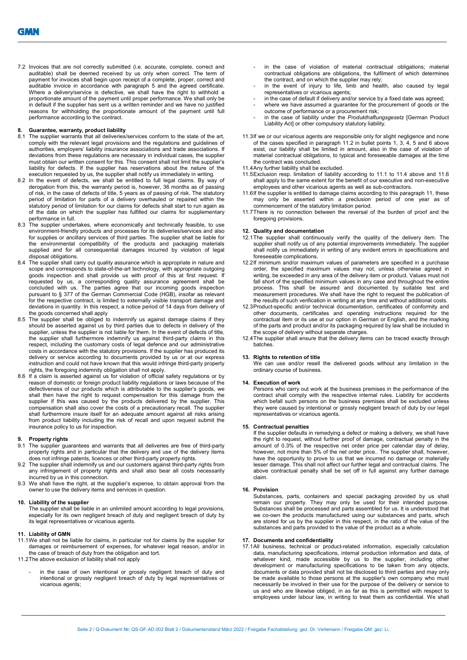7.2 Invoices that are not correctly submitted (i.e. accurate, complete, correct and auditable) shall be deemed received by us only when correct. The term of payment for invoices shall begin upon receipt of a complete, proper, correct and auditable invoice in accordance with paragraph 5 and the agreed certificate. Where a delivery/service is defective, we shall have the right to withhold a proportionate amount of the payment until proper performance. We shall only be in default if the supplier has sent us a written reminder and we have no justified reasons for withholding the proportionate amount of the payment until full performance according to the contract.

#### 8. Guarantee, warranty, product liability

- 8.1 The supplier warrants that all deliveries/services conform to the state of the art, comply with the relevant legal provisions and the regulations and guidelines of authorities, employers' liability insurance associations and trade associations. If deviations from these regulations are necessary in individual cases, the supplier must obtain our written consent for this. This consent shall not limit the supplier's liability for defects. If the supplier has reservations about the nature of the execution requested by us, the supplier shall notify us immediately in writing.
- 8.2 In the event of defects, we shall be entitled to full legal claims. By way of derogation from this, the warranty period is, however, 36 months as of passing of risk, in the case of defects of title, 5 years as of passing of risk. The statutory period of limitation for parts of a delivery overhauled or repaired within the statutory period of limitation for our claims for defects shall start to run again as of the date on which the supplier has fulfilled our claims for supplementary performance in full.
- 8.3 The supplier undertakes, where economically and technically feasible, to use environment-friendly products and processes for its deliveries/services and also for supplies or ancillary services of third parties. The supplier shall be liable for the environmental compatibility of the products and packaging materials supplied and for all consequential damages incurred by violation of legal disposal obligations.
- 8.4 The supplier shall carry out quality assurance which is appropriate in nature and scope and corresponds to state-of-the-art technology, with appropriate outgoing goods inspection and shall provide us with proof of this at first request. If requested by us, a corresponding quality assurance agreement shall be concluded with us. The parties agree that our incoming goods inspection pursuant to § 377 of the German Commercial Code (HGB), insofar as relevant for the respective contract, is limited to externally visible transport damage and deviations in quantity. In this respect, a notice period of 14 days from delivery of the goods concerned shall apply
- 8.5 The supplier shall be obliged to indemnify us against damage claims if they should be asserted against us by third parties due to defects in delivery of the supplier, unless the supplier is not liable for them. In the event of defects of title, the supplier shall furthermore indemnify us against third-party claims in this respect, including the customary costs of legal defence and our administrative costs in accordance with the statutory provisions. If the supplier has produced its delivery or service according to documents provided by us or at our express instruction and could not have known that this would infringe third-party property rights, the foregoing indemnity obligation shall not apply.
- 8.6 If a claim is asserted against us for violation of official safety regulations or by reason of domestic or foreign product liability regulations or laws because of the defectiveness of our products which is attributable to the supplier's goods, we shall then have the right to request compensation for this damage from the supplier if this was caused by the products delivered by the supplier. This compensation shall also cover the costs of a precautionary recall. The supplier shall furthermore insure itself for an adequate amount against all risks arising from product liability including the risk of recall and upon request submit the insurance policy to us for inspection.

#### Property rights

- 9.1 The supplier guarantees and warrants that all deliveries are free of third-party property rights and in particular that the delivery and use of the delivery items does not infringe patents, licences or other third-party property rights.
- 9.2 The supplier shall indemnify us and our customers against third-party rights from any infringement of property rights and shall also bear all costs necessarily incurred by us in this connection.
- 9.3 We shall have the right, at the supplier's expense, to obtain approval from the owner to use the delivery items and services in question.

## 10. Liability of the supplier

The supplier shall be liable in an unlimited amount according to legal provisions, especially for its own negligent breach of duty and negligent breach of duty by its legal representatives or vicarious agents.

#### 11. Liability of GMN

- 11.1 We shall not be liable for claims, in particular not for claims by the supplier for damages or reimbursement of expenses, for whatever legal reason, and/or in the case of breach of duty from the obligation and tort.
- 11.2 The above exclusion of liability shall not apply
	- in the case of own intentional or grossly negligent breach of duty and intentional or grossly negligent breach of duty by legal representatives or vicarious agents;
- in the case of violation of material contractual obligations: material contractual obligations are obligations, the fulfilment of which determines the contract, and on which the supplier may rely;
- in the event of injury to life, limb and health, also caused by legal representatives or vicarious agents;
- in the case of default if delivery and/or service by a fixed date was agreed;
- where we have assumed a guarantee for the procurement of goods or the outcome of performance or a procurement risk;
- in the case of liability under the Produkthaftungsgesetz [German Product Liability Act] or other compulsory statutory liability.
- 11.3 If we or our vicarious agents are responsible only for slight negligence and none of the cases specified in paragraph 11.2 in bullet points 1, 3, 4, 5 and 6 above exist, our liability shall be limited in amount, also in the case of violation of material contractual obligations, to typical and foreseeable damages at the time the contract was concluded.
- 11.4 Any further liability shall be excluded.

 $\_$  , and the state of the state of the state of the state of the state of the state of the state of the state of the state of the state of the state of the state of the state of the state of the state of the state of the

- 11.5 Exclusion resp. limitation of liability according to 11.1 to 11.4 above and 11.6 shall apply to the same extent for the benefit of our executive and non-executive employees and other vicarious agents as well as sub-contractors.
- 11.6 If the supplier is entitled to damage claims according to this paragraph 11, these may only be asserted within a preclusion period of one year as of commencement of the statutory limitation period.
- 11.7 There is no connection between the reversal of the burden of proof and the foregoing provisions.

#### 12. Quality and documentation

- 12.1 The supplier shall continuously verify the quality of the delivery item. The supplier shall notify us of any potential improvements immediately. The supplier shall notify us immediately in writing of any evident errors in specifications and foreseeable complications.
- 12.2 If minimum and/or maximum values of parameters are specified in a purchase order, the specified maximum values may not, unless otherwise agreed in writing, be exceeded in any area of the delivery item or product. Values must not fall short of the specified minimum values in any case and throughout the entire process. This shall be assured and documented by suitable test and measurement procedures. We shall have the right to request the publication of the results of such verification in writing at any time and without additional costs.
- 12.3 Product-specific and/or technical documentation, certificates of conformity and other documents, certificates and operating instructions required for the contractual item or its use at our option in German or English, and the marking of the parts and product and/or its packaging required by law shall be included in the scope of delivery without separate charges.
- 12.4 The supplier shall ensure that the delivery items can be traced exactly through batches.

### 13. Rights to retention of title

We can use and/or resell the delivered goods without any limitation in the ordinary course of business.

# 14. Execution of work

Persons who carry out work at the business premises in the performance of the contract shall comply with the respective internal rules. Liability for accidents which befall such persons on the business premises shall be excluded unless they were caused by intentional or grossly negligent breach of duty by our legal representatives or vicarious agents.

### 15. Contractual penalties

If the supplier defaults in remedying a defect or making a delivery, we shall have the right to request, without further proof of damage, contractual penalty in the amount of 0.3% of the respective net order price per calendar day of delay, however, not more than 5% of the net order price.. The supplier shall, however, have the opportunity to prove to us that we incurred no damage or materially lesser damage. This shall not affect our further legal and contractual claims. The above contractual penalty shall be set off in full against any further damage claim.

#### 16. Provision

Substances, parts, containers and special packaging provided by us shall remain our property. They may only be used for their intended purpose. Substances shall be processed and parts assembled for us. It is understood that we co-own the products manufactured using our substances and parts, which are stored for us by the supplier in this respect, in the ratio of the value of the substances and parts provided to the value of the product as a whole.

#### 17. Documents and confidentiality

17.1 All business, technical or product-related information, especially calculation data, manufacturing specifications, internal production information and data, of whatever kind, made accessible by us to the supplier, including other development or manufacturing specifications to be taken from any objects, documents or data provided shall not be disclosed to third parties and may only be made available to those persons at the supplier's own company who must necessarily be involved in their use for the purpose of the delivery or service to us and who are likewise obliged, in as far as this is permitted with respect to employees under labour law, in writing to treat them as confidential. We shall

 $\_$  , and the state of the state of the state of the state of the state of the state of the state of the state of the state of the state of the state of the state of the state of the state of the state of the state of the